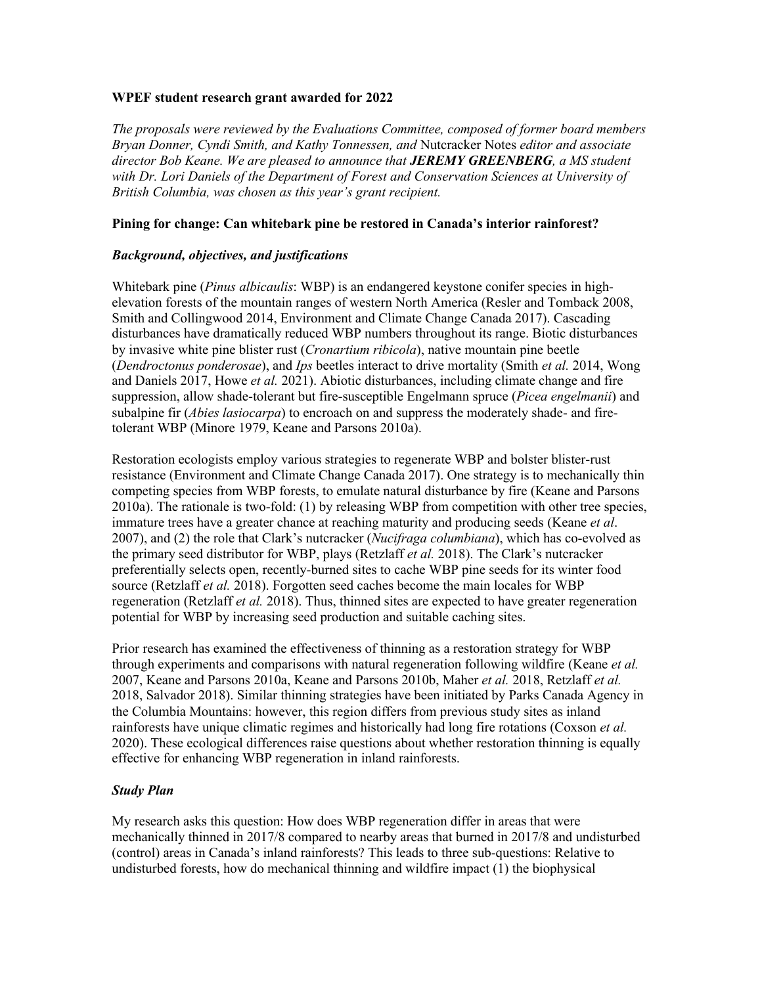## **WPEF student research grant awarded for 2022**

*The proposals were reviewed by the Evaluations Committee, composed of former board members Bryan Donner, Cyndi Smith, and Kathy Tonnessen, and* Nutcracker Notes *editor and associate director Bob Keane. We are pleased to announce that JEREMY GREENBERG, a MS student with Dr. Lori Daniels of the Department of Forest and Conservation Sciences at University of British Columbia, was chosen as this year's grant recipient.* 

## **Pining for change: Can whitebark pine be restored in Canada's interior rainforest?**

### *Background, objectives, and justifications*

Whitebark pine (*Pinus albicaulis*: WBP) is an endangered keystone conifer species in highelevation forests of the mountain ranges of western North America (Resler and Tomback 2008, Smith and Collingwood 2014, Environment and Climate Change Canada 2017). Cascading disturbances have dramatically reduced WBP numbers throughout its range. Biotic disturbances by invasive white pine blister rust (*Cronartium ribicola*), native mountain pine beetle (*Dendroctonus ponderosae*), and *Ips* beetles interact to drive mortality (Smith *et al.* 2014, Wong and Daniels 2017, Howe *et al.* 2021). Abiotic disturbances, including climate change and fire suppression, allow shade-tolerant but fire-susceptible Engelmann spruce (*Picea engelmanii*) and subalpine fir *(Abies lasiocarpa)* to encroach on and suppress the moderately shade- and firetolerant WBP (Minore 1979, Keane and Parsons 2010a).

Restoration ecologists employ various strategies to regenerate WBP and bolster blister-rust resistance (Environment and Climate Change Canada 2017). One strategy is to mechanically thin competing species from WBP forests, to emulate natural disturbance by fire (Keane and Parsons 2010a). The rationale is two-fold: (1) by releasing WBP from competition with other tree species, immature trees have a greater chance at reaching maturity and producing seeds (Keane *et al*. 2007), and (2) the role that Clark's nutcracker (*Nucifraga columbiana*), which has co-evolved as the primary seed distributor for WBP, plays (Retzlaff *et al.* 2018). The Clark's nutcracker preferentially selects open, recently-burned sites to cache WBP pine seeds for its winter food source (Retzlaff *et al.* 2018). Forgotten seed caches become the main locales for WBP regeneration (Retzlaff *et al.* 2018). Thus, thinned sites are expected to have greater regeneration potential for WBP by increasing seed production and suitable caching sites.

Prior research has examined the effectiveness of thinning as a restoration strategy for WBP through experiments and comparisons with natural regeneration following wildfire (Keane *et al.* 2007, Keane and Parsons 2010a, Keane and Parsons 2010b, Maher *et al.* 2018, Retzlaff *et al.*  2018, Salvador 2018). Similar thinning strategies have been initiated by Parks Canada Agency in the Columbia Mountains: however, this region differs from previous study sites as inland rainforests have unique climatic regimes and historically had long fire rotations (Coxson *et al.* 2020). These ecological differences raise questions about whether restoration thinning is equally effective for enhancing WBP regeneration in inland rainforests.

#### *Study Plan*

My research asks this question: How does WBP regeneration differ in areas that were mechanically thinned in 2017/8 compared to nearby areas that burned in 2017/8 and undisturbed (control) areas in Canada's inland rainforests? This leads to three sub-questions: Relative to undisturbed forests, how do mechanical thinning and wildfire impact (1) the biophysical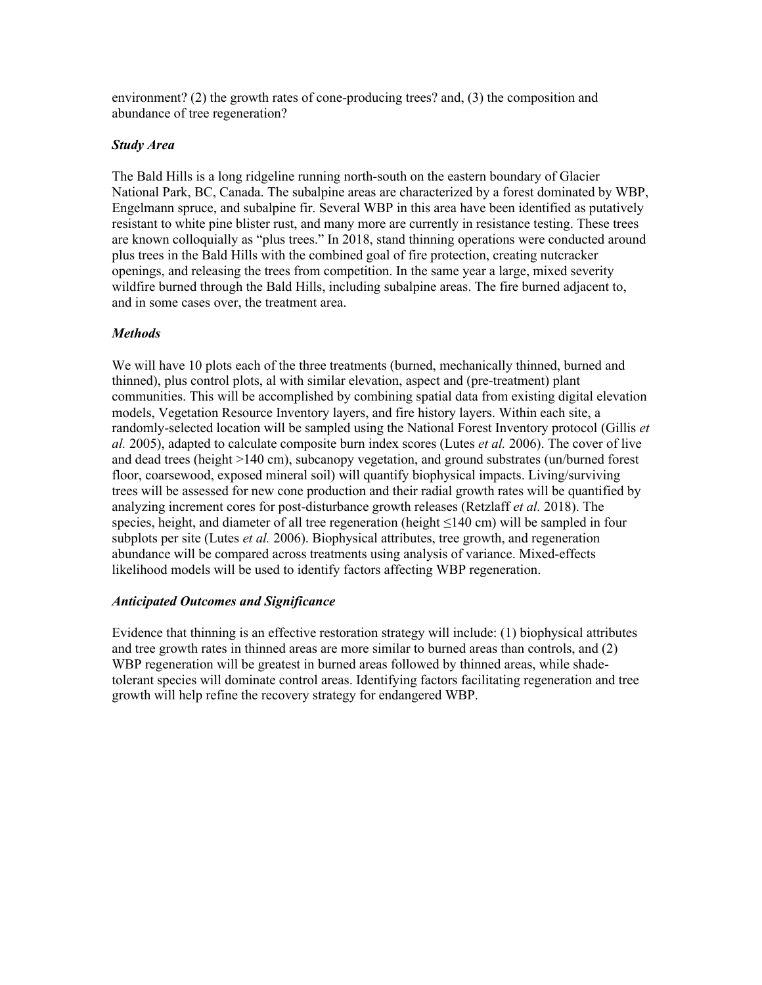environment? (2) the growth rates of cone-producing trees? and, (3) the composition and abundance of tree regeneration?

### *Study Area*

The Bald Hills is a long ridgeline running north-south on the eastern boundary of Glacier National Park, BC, Canada. The subalpine areas are characterized by a forest dominated by WBP, Engelmann spruce, and subalpine fir. Several WBP in this area have been identified as putatively resistant to white pine blister rust, and many more are currently in resistance testing. These trees are known colloquially as "plus trees." In 2018, stand thinning operations were conducted around plus trees in the Bald Hills with the combined goal of fire protection, creating nutcracker openings, and releasing the trees from competition. In the same year a large, mixed severity wildfire burned through the Bald Hills, including subalpine areas. The fire burned adjacent to, and in some cases over, the treatment area.

# *Methods*

We will have 10 plots each of the three treatments (burned, mechanically thinned, burned and thinned), plus control plots, al with similar elevation, aspect and (pre-treatment) plant communities. This will be accomplished by combining spatial data from existing digital elevation models, Vegetation Resource Inventory layers, and fire history layers. Within each site, a randomly-selected location will be sampled using the National Forest Inventory protocol (Gillis *et al.* 2005), adapted to calculate composite burn index scores (Lutes *et al.* 2006). The cover of live and dead trees (height >140 cm), subcanopy vegetation, and ground substrates (un/burned forest floor, coarsewood, exposed mineral soil) will quantify biophysical impacts. Living/surviving trees will be assessed for new cone production and their radial growth rates will be quantified by analyzing increment cores for post-disturbance growth releases (Retzlaff *et al.* 2018). The species, height, and diameter of all tree regeneration (height ≤140 cm) will be sampled in four subplots per site (Lutes *et al.* 2006). Biophysical attributes, tree growth, and regeneration abundance will be compared across treatments using analysis of variance. Mixed-effects likelihood models will be used to identify factors affecting WBP regeneration.

#### *Anticipated Outcomes and Significance*

Evidence that thinning is an effective restoration strategy will include: (1) biophysical attributes and tree growth rates in thinned areas are more similar to burned areas than controls, and (2) WBP regeneration will be greatest in burned areas followed by thinned areas, while shadetolerant species will dominate control areas. Identifying factors facilitating regeneration and tree growth will help refine the recovery strategy for endangered WBP.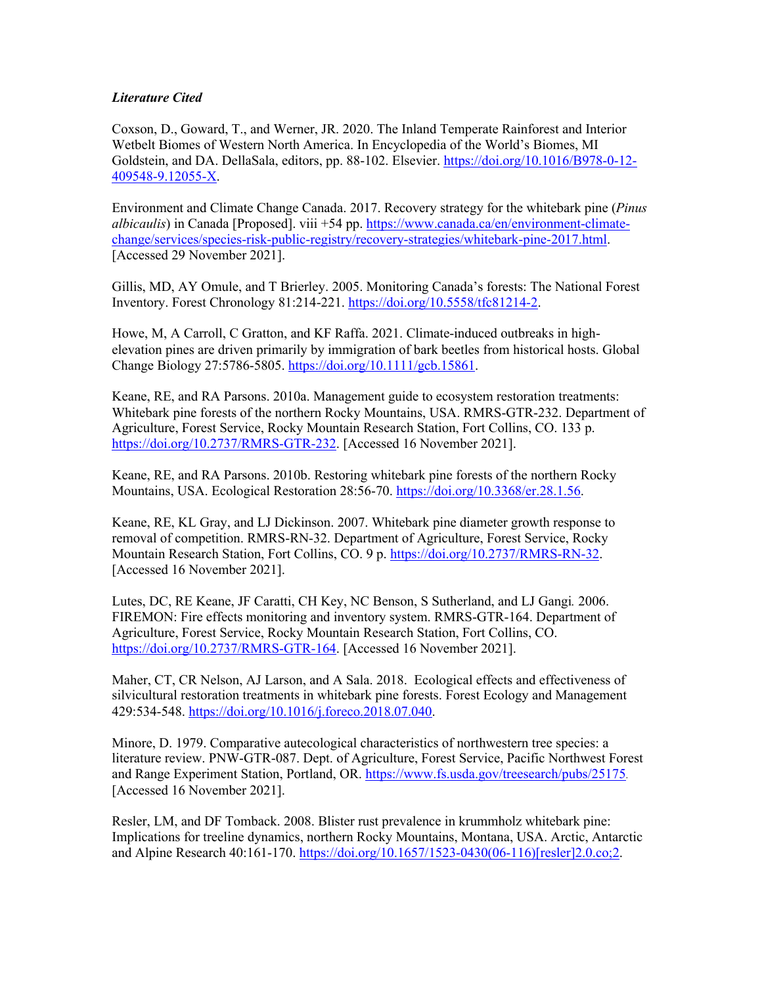# *Literature Cited*

Coxson, D., Goward, T., and Werner, JR. 2020. The Inland Temperate Rainforest and Interior Wetbelt Biomes of Western North America. In Encyclopedia of the World's Biomes, MI Goldstein, and DA. DellaSala, editors, pp. 88-102. Elsevier. https://doi.org/10.1016/B978-0-12- 409548-9.12055-X.

Environment and Climate Change Canada. 2017. Recovery strategy for the whitebark pine (*Pinus albicaulis*) in Canada [Proposed]. viii +54 pp. https://www.canada.ca/en/environment-climatechange/services/species-risk-public-registry/recovery-strategies/whitebark-pine-2017.html. [Accessed 29 November 2021].

Gillis, MD, AY Omule, and T Brierley. 2005. Monitoring Canada's forests: The National Forest Inventory. Forest Chronology 81:214-221. https://doi.org/10.5558/tfc81214-2.

Howe, M, A Carroll, C Gratton, and KF Raffa. 2021. Climate-induced outbreaks in highelevation pines are driven primarily by immigration of bark beetles from historical hosts. Global Change Biology 27:5786-5805. https://doi.org/10.1111/gcb.15861.

Keane, RE, and RA Parsons. 2010a. Management guide to ecosystem restoration treatments: Whitebark pine forests of the northern Rocky Mountains, USA. RMRS-GTR-232. Department of Agriculture, Forest Service, Rocky Mountain Research Station, Fort Collins, CO. 133 p. https://doi.org/10.2737/RMRS-GTR-232. [Accessed 16 November 2021].

Keane, RE, and RA Parsons. 2010b. Restoring whitebark pine forests of the northern Rocky Mountains, USA. Ecological Restoration 28:56-70. https://doi.org/10.3368/er.28.1.56.

Keane, RE, KL Gray, and LJ Dickinson. 2007. Whitebark pine diameter growth response to removal of competition. RMRS-RN-32. Department of Agriculture, Forest Service, Rocky Mountain Research Station, Fort Collins, CO. 9 p. https://doi.org/10.2737/RMRS-RN-32. [Accessed 16 November 2021].

Lutes, DC, RE Keane, JF Caratti, CH Key, NC Benson, S Sutherland, and LJ Gangi*.* 2006. FIREMON: Fire effects monitoring and inventory system. RMRS-GTR-164. Department of Agriculture, Forest Service, Rocky Mountain Research Station, Fort Collins, CO. https://doi.org/10.2737/RMRS-GTR-164. [Accessed 16 November 2021].

Maher, CT, CR Nelson, AJ Larson, and A Sala. 2018. Ecological effects and effectiveness of silvicultural restoration treatments in whitebark pine forests. Forest Ecology and Management 429:534-548. https://doi.org/10.1016/j.foreco.2018.07.040.

Minore, D. 1979. Comparative autecological characteristics of northwestern tree species: a literature review. PNW-GTR-087. Dept. of Agriculture, Forest Service, Pacific Northwest Forest and Range Experiment Station, Portland, OR. https://www.fs.usda.gov/treesearch/pubs/25175. [Accessed 16 November 2021].

Resler, LM, and DF Tomback. 2008. Blister rust prevalence in krummholz whitebark pine: Implications for treeline dynamics, northern Rocky Mountains, Montana, USA. Arctic, Antarctic and Alpine Research 40:161-170. https://doi.org/10.1657/1523-0430(06-116)[resler]2.0.co;2.